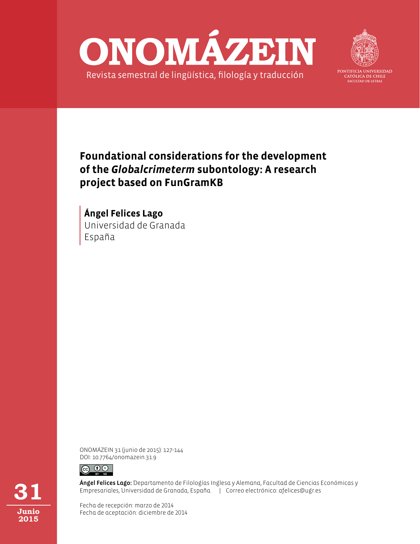



PONTIFICIA UNIVERSIDAD CATÓLICA DE CHILE **FACULTAD DE LETRAS** 

## **Foundational considerations for the development of the** *Globalcrimeterm* **subontology: A research project based on FunGramKB**

Universidad de Granada España **Ángel Felices Lago**

ONOMÁZEIN 31 (junio de 2015): 127-144 DOI: 10.7764/onomazein.31.9



Ángel Felices Lago: Departamento de Filologías Inglesa y Alemana, Facultad de Ciencias Económicas y Empresariales, Universidad de Granada, España. | Correo electrónico: afelices@ugr.es

Fecha de recepción: marzo de 2014 Fecha de aceptación: diciembre de 2014

**31 Junio 2015**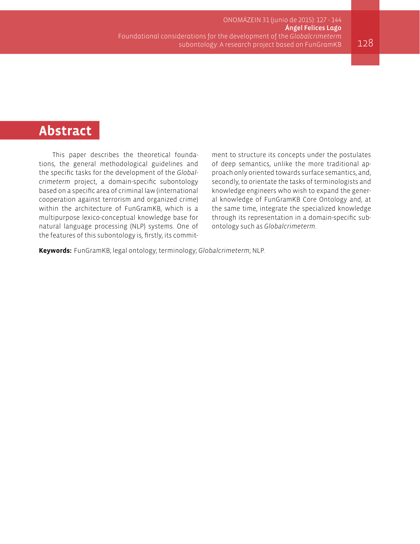# **Abstract**

This paper describes the theoretical foundations, the general methodological guidelines and the specific tasks for the development of the *Globalcrimeterm* project, a domain-specific subontology based on a specific area of criminal law (international cooperation against terrorism and organized crime) within the architecture of FunGramKB, which is a multipurpose lexico-conceptual knowledge base for natural language processing (NLP) systems. One of the features of this subontology is, firstly, its commitment to structure its concepts under the postulates of deep semantics, unlike the more traditional approach only oriented towards surface semantics, and, secondly, to orientate the tasks of terminologists and knowledge engineers who wish to expand the general knowledge of FunGramKB Core Ontology and, at the same time, integrate the specialized knowledge through its representation in a domain-specific subontology such as *Globalcrimeterm*.

**Keywords:** FunGramKB; legal ontology; terminology; *Globalcrimeterm*; NLP.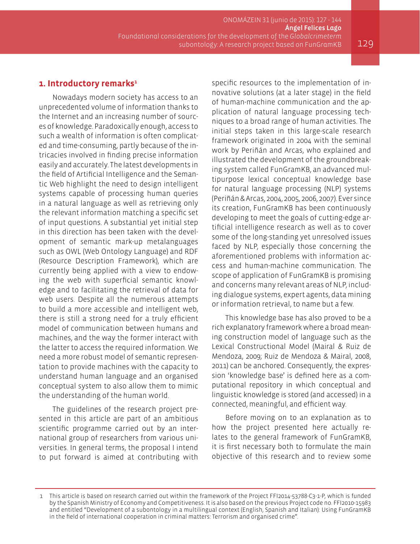ONOMÁZEIN 31 (junio de 2015): 127 - 144 Ángel Felices Lago Foundational considerations for the development of the Globalcrimeterm subontology: A research project based on FunGramKB  $129$ 

#### 1. Introductory remarks<sup>1</sup>

Nowadays modern society has access to an unprecedented volume of information thanks to the Internet and an increasing number of sources of knowledge. Paradoxically enough, access to such a wealth of information is often complicated and time-consuming, partly because of the intricacies involved in finding precise information easily and accurately. The latest developments in the field of Artificial Intelligence and the Semantic Web highlight the need to design intelligent systems capable of processing human queries in a natural language as well as retrieving only the relevant information matching a specific set of input questions. A substantial yet initial step in this direction has been taken with the development of semantic mark-up metalanguages such as OWL (Web Ontology Language) and RDF (Resource Description Framework), which are currently being applied with a view to endowing the web with superficial semantic knowledge and to facilitating the retrieval of data for web users. Despite all the numerous attempts to build a more accessible and intelligent web, there is still a strong need for a truly efficient model of communication between humans and machines, and the way the former interact with the latter to access the required information. We need a more robust model of semantic representation to provide machines with the capacity to understand human language and an organised conceptual system to also allow them to mimic the understanding of the human world.

The guidelines of the research project presented in this article are part of an ambitious scientific programme carried out by an international group of researchers from various universities. In general terms, the proposal I intend to put forward is aimed at contributing with

specific resources to the implementation of innovative solutions (at a later stage) in the field of human-machine communication and the application of natural language processing techniques to a broad range of human activities. The initial steps taken in this large-scale research framework originated in 2004 with the seminal work by Periñán and Arcas, who explained and illustrated the development of the groundbreaking system called FunGramKB, an advanced multipurpose lexical conceptual knowledge base for natural language processing (NLP) systems (Periñán & Arcas, 2004, 2005, 2006, 2007). Ever since its creation, FunGramKB has been continuously developing to meet the goals of cutting-edge artificial intelligence research as well as to cover some of the long-standing yet unresolved issues faced by NLP, especially those concerning the aforementioned problems with information access and human-machine communication. The scope of application of FunGramKB is promising and concerns many relevant areas of NLP, including dialogue systems, expert agents, data mining or information retrieval, to name but a few.

This knowledge base has also proved to be a rich explanatory framework where a broad meaning construction model of language such as the Lexical Constructional Model (Mairal & Ruiz de Mendoza, 2009; Ruiz de Mendoza & Mairal, 2008, 2011) can be anchored. Consequently, the expression 'knowledge base' is defined here as a computational repository in which conceptual and linguistic knowledge is stored (and accessed) in a connected, meaningful, and efficient way.

Before moving on to an explanation as to how the project presented here actually relates to the general framework of FunGramKB, it is first necessary both to formulate the main objective of this research and to review some

<sup>1</sup> This article is based on research carried out within the framework of the Project FFI2014-53788-C3-1-P, which is funded by the Spanish Ministry of Economy and Competitiveness. It is also based on the previous Project code no. FFI2010-15983 and entitled "Development of a subontology in a multilingual context (English, Spanish and Italian): Using FunGramKB in the field of international cooperation in criminal matters: Terrorism and organised crime".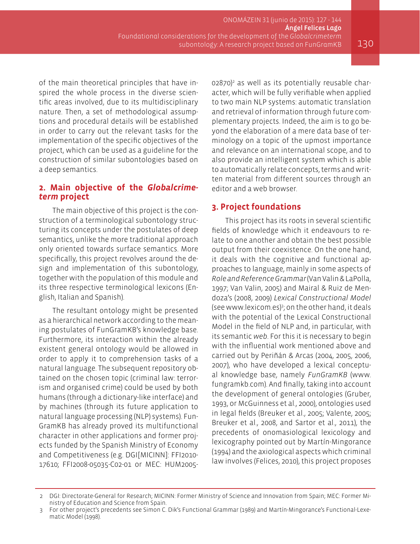ONOMÁZEIN 31 (junio de 2015): 127 - 144 Ángel Felices Lago Foundational considerations for the development of the Globalcrimeterm subontology: A research project based on FunGramKB  $130$ 

of the main theoretical principles that have inspired the whole process in the diverse scientific areas involved, due to its multidisciplinary nature. Then, a set of methodological assumptions and procedural details will be established in order to carry out the relevant tasks for the implementation of the specific objectives of the project, which can be used as a guideline for the construction of similar subontologies based on a deep semantics.

# **2. Main objective of the** *Globalcrime- term* **project**

The main objective of this project is the construction of a terminological subontology structuring its concepts under the postulates of deep semantics, unlike the more traditional approach only oriented towards surface semantics. More specifically, this project revolves around the design and implementation of this subontology, together with the population of this module and its three respective terminological lexicons (English, Italian and Spanish).

The resultant ontology might be presented as a hierarchical network according to the meaning postulates of FunGramKB's knowledge base. Furthermore, its interaction within the already existent general ontology would be allowed in order to apply it to comprehension tasks of a natural language. The subsequent repository obtained on the chosen topic (criminal law: terrorism and organised crime) could be used by both humans (through a dictionary-like interface) and by machines (through its future application to natural language processing (NLP) systems). Fun-GramKB has already proved its multifunctional character in other applications and former projects funded by the Spanish Ministry of Economy and Competitiveness (e.g. DGI[MICINN]: FFI2010- 17610; FFI2008-05035-C02-01 or MEC: HUM2005-

02870)<sup>2</sup> as well as its potentially reusable character, which will be fully verifiable when applied to two main NLP systems: automatic translation and retrieval of information through future complementary projects. Indeed, the aim is to go beyond the elaboration of a mere data base of terminology on a topic of the upmost importance and relevance on an international scope, and to also provide an intelligent system which is able to automatically relate concepts, terms and written material from different sources through an editor and a web browser.

#### **3. Project foundations**

This project has its roots in several scientific fields of knowledge which it endeavours to relate to one another and obtain the best possible output from their coexistence. On the one hand, it deals with the cognitive and functional approaches to language, mainly in some aspects of *Role and Reference Grammar* (Van Valin & LaPolla, 1997; Van Valin, 2005) and Mairal & Ruiz de Mendoza's (2008, 2009) *Lexical Constructional Model* (see www.lexicom.es)<sup>3</sup> ; on the other hand, it deals with the potential of the Lexical Constructional Model in the field of NLP and, in particular, with its semantic *web*. For this it is necessary to begin with the influential work mentioned above and carried out by Periñán & Arcas (2004, 2005, 2006, 2007), who have developed a lexical conceptual knowledge base, namely *FunGramKB* (www. fungramkb.com). And finally, taking into account the development of general ontologies (Gruber, 1993, or McGuinness et al., 2000), ontologies used in legal fields (Breuker et al., 2005; Valente, 2005; Breuker et al., 2008, and Sartor et al., 2011), the precedents of onomasiological lexicology and lexicography pointed out by Martín-Mingorance (1994) and the axiological aspects which criminal law involves (Felices, 2010), this project proposes

<sup>2</sup> DGI: Directorate-General for Research; MICINN: Former Ministry of Science and Innovation from Spain; MEC: Former Ministry of Education and Science from Spain.

<sup>3</sup> For other project's precedents see Simon C. Dik's Functional Grammar (1989) and Martín-Mingorance's Functional-Lexematic Model (1998).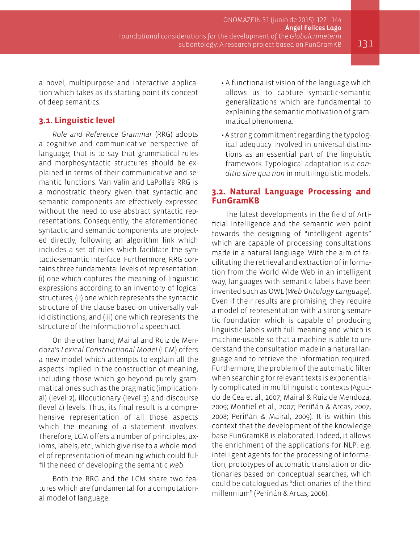a novel, multipurpose and interactive application which takes as its starting point its concept of deep semantics.

#### **3.1. Linguistic level**

*Role and Reference Grammar* (RRG) adopts a cognitive and communicative perspective of language; that is to say that grammatical rules and morphosyntactic structures should be explained in terms of their communicative and semantic functions. Van Valin and LaPolla's RRG is a monostratic theory given that syntactic and semantic components are effectively expressed without the need to use abstract syntactic representations. Consequently, the aforementioned syntactic and semantic components are projected directly, following an algorithm link which includes a set of rules which facilitate the syntactic-semantic interface. Furthermore, RRG contains three fundamental levels of representation: (i) one which captures the meaning of linguistic expressions according to an inventory of logical structures; (ii) one which represents the syntactic structure of the clause based on universally valid distinctions; and (iii) one which represents the structure of the information of a speech act.

On the other hand, Mairal and Ruiz de Mendoza's *Lexical Constructional Model* (LCM) offers a new model which attempts to explain all the aspects implied in the construction of meaning, including those which go beyond purely grammatical ones such as the pragmatic (implicational) (level 2), illocutionary (level 3) and discourse (level 4) levels. Thus, its final result is a comprehensive representation of all those aspects which the meaning of a statement involves. Therefore, LCM offers a number of principles, axioms, labels, etc., which give rise to a whole model of representation of meaning which could fulfil the need of developing the semantic *web*.

Both the RRG and the LCM share two features which are fundamental for a computational model of language:

- A functionalist vision of the language which allows us to capture syntactic-semantic generalizations which are fundamental to explaining the semantic motivation of grammatical phenomena.
- A strong commitment regarding the typological adequacy involved in universal distinctions as an essential part of the linguistic framework. Typological adaptation is a *conditio sine qua non* in multilinguistic models.

#### **3.2. Natural Language Processing and FunGramKB**

The latest developments in the field of Artificial Intelligence and the semantic web point towards the designing of "intelligent agents" which are capable of processing consultations made in a natural language. With the aim of facilitating the retrieval and extraction of information from the World Wide Web in an intelligent way, languages with semantic labels have been invented such as OWL (*Web Ontology Language*). Even if their results are promising, they require a model of representation with a strong semantic foundation which is capable of producing linguistic labels with full meaning and which is machine-usable so that a machine is able to understand the consultation made in a natural language and to retrieve the information required. Furthermore, the problem of the automatic filter when searching for relevant texts is exponentially complicated in multilinguistic contexts (Aguado de Cea et al., 2007; Mairal & Ruiz de Mendoza, 2009; Montiel et al., 2007; Periñán & Arcas, 2007, 2008; Periñán & Mairal, 2009). It is within this context that the development of the knowledge base FunGramKB is elaborated. Indeed, it allows the enrichment of the applications for NLP: e.g. intelligent agents for the processing of information, prototypes of automatic translation or dictionaries based on conceptual searches, which could be catalogued as "dictionaries of the third millennium" (Periñán & Arcas, 2006).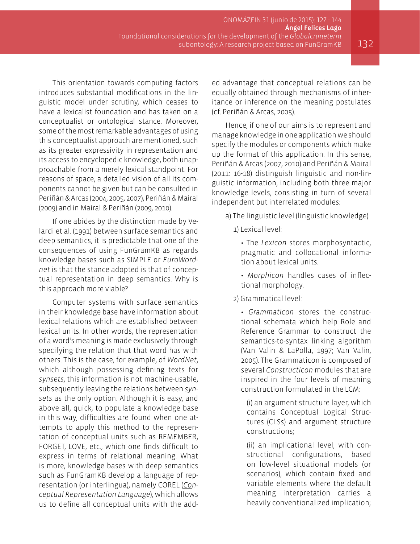This orientation towards computing factors introduces substantial modifications in the linguistic model under scrutiny, which ceases to have a lexicalist foundation and has taken on a conceptualist or ontological stance. Moreover, some of the most remarkable advantages of using this conceptualist approach are mentioned, such as its greater expressivity in representation and its access to encyclopedic knowledge, both unapproachable from a merely lexical standpoint. For reasons of space, a detailed vision of all its components cannot be given but can be consulted in Periñán & Arcas (2004, 2005, 2007), Periñán & Mairal (2009) and in Mairal & Periñán (2009, 2010).

If one abides by the distinction made by Velardi et al. (1991) between surface semantics and deep semantics, it is predictable that one of the consequences of using FunGramKB as regards knowledge bases such as SIMPLE or *EuroWordnet* is that the stance adopted is that of conceptual representation in deep semantics. Why is this approach more viable?

Computer systems with surface semantics in their knowledge base have information about lexical relations which are established between lexical units. In other words, the representation of a word's meaning is made exclusively through specifying the relation that that word has with others. This is the case, for example, of *WordNet*, which although possessing defining texts for *synsets*, this information is not machine-usable, subsequently leaving the relations between *synsets* as the only option. Although it is easy, and above all, quick, to populate a knowledge base in this way, difficulties are found when one attempts to apply this method to the representation of conceptual units such as REMEMBER, FORGET, LOVE, etc., which one finds difficult to express in terms of relational meaning. What is more, knowledge bases with deep semantics such as FunGramKB develop a language of representation (or interlingua), namely COREL (*Conceptual Representation Language*), which allows us to define all conceptual units with the added advantage that conceptual relations can be equally obtained through mechanisms of inheritance or inference on the meaning postulates (cf. Periñán & Arcas, 2005).

Hence, if one of our aims is to represent and manage knowledge in one application we should specify the modules or components which make up the format of this application. In this sense, Periñán & Arcas (2007, 2010) and Periñán & Mairal (2011: 16-18) distinguish linguistic and non-linguistic information, including both three major knowledge levels, consisting in turn of several independent but interrelated modules:

- a) The linguistic level (linguistic knowledge):
	- 1) Lexical level:
		- The *Lexicon* stores morphosyntactic, pragmatic and collocational information about lexical units.
		- *Morphicon* handles cases of inflectional morphology.
	- 2) Grammatical level:

• *Grammaticon* stores the constructional schemata which help Role and Reference Grammar to construct the semantics-to-syntax linking algorithm (Van Valin & LaPolla, 1997; Van Valin, 2005). The Grammaticon is composed of several *Constructicon* modules that are inspired in the four levels of meaning construction formulated in the LCM:

(i) an argument structure layer, which contains Conceptual Logical Structures (CLSs) and argument structure constructions;

(ii) an implicational level, with constructional configurations, based on low-level situational models (or scenarios), which contain fixed and variable elements where the default meaning interpretation carries a heavily conventionalized implication;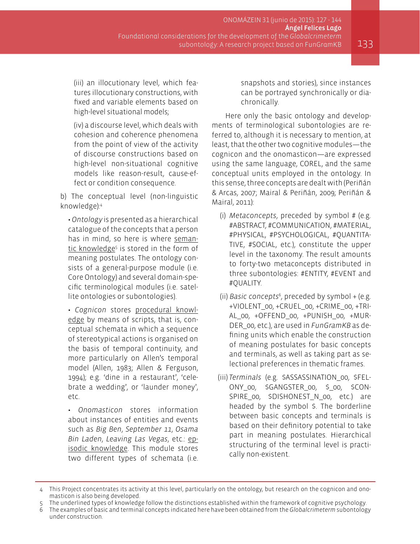(iii) an illocutionary level, which features illocutionary constructions, with fixed and variable elements based on high-level situational models;

(iv) a discourse level, which deals with cohesion and coherence phenomena from the point of view of the activity of discourse constructions based on high-level non-situational cognitive models like reason-result, cause-effect or condition consequence.

b) The conceptual level (non-linguistic knowledge):<sup>4</sup>

• *Ontology* is presented as a hierarchical catalogue of the concepts that a person has in mind, so here is where semantic knowledge<sup>5</sup> is stored in the form of meaning postulates. The ontology consists of a general-purpose module (i.e. Core Ontology) and several domain-specific terminological modules (i.e. satellite ontologies or subontologies).

• *Cognicon* stores procedural knowledge by means of scripts, that is, conceptual schemata in which a sequence of stereotypical actions is organised on the basis of temporal continuity, and more particularly on Allen's temporal model (Allen, 1983; Allen & Ferguson, 1994); e.g. 'dine in a restaurant', 'celebrate a wedding', or 'launder money', etc.

• *Onomasticon* stores information about instances of entities and events such as *Big Ben*, *September 11*, *Osama Bin Laden*, *Leaving Las Vegas*, etc.: episodic knowledge. This module stores two different types of schemata (i.e. snapshots and stories), since instances can be portrayed synchronically or diachronically.

Here only the basic ontology and developments of terminological subontologies are referred to, although it is necessary to mention, at least, that the other two cognitive modules—the cognicon and the onomasticon—are expressed using the same language, COREL, and the same conceptual units employed in the ontology. In this sense, three concepts are dealt with (Periñán & Arcas, 2007; Mairal & Periñán, 2009; Periñán & Mairal, 2011):

- (i) *Metaconcepts*, preceded by symbol # (e.g. #ABSTRACT, #COMMUNICATION, #MATERIAL, #PHYSICAL, #PSYCHOLOGICAL, #QUANTITA-TIVE, #SOCIAL, etc.), constitute the upper level in the taxonomy. The result amounts to forty-two metaconcepts distributed in three subontologies: #ENTITY, #EVENT and #QUALITY.
- (ii) *Basic concepts*<sup>6</sup> , preceded by symbol + (e.g. +VIOLENT\_00, +CRUEL\_00, +CRIME\_00, +TRI-AL\_00, +OFFEND\_00, +PUNISH\_00, +MUR-DER\_00, etc.), are used in *FunGramKB* as defining units which enable the construction of meaning postulates for basic concepts and terminals, as well as taking part as selectional preferences in thematic frames.
- (iii) *Terminals* (e.g. \$ASSASSINATION\_00, \$FEL-ONY 00, \$GANGSTER 00, \$00, \$CON-SPIRE\_00, \$DISHONEST\_N\_00, etc.) are headed by the symbol \$. The borderline between basic concepts and terminals is based on their definitory potential to take part in meaning postulates. Hierarchical structuring of the terminal level is practically non-existent.

6 The examples of basic and terminal concepts indicated here have been obtained from the *Globalcrimeterm* subontology under construction.

<sup>4</sup> This Project concentrates its activity at this level, particularly on the ontology, but research on the cognicon and onomasticon is also being developed.

The underlined types of knowledge follow the distinctions established within the framework of cognitive psychology.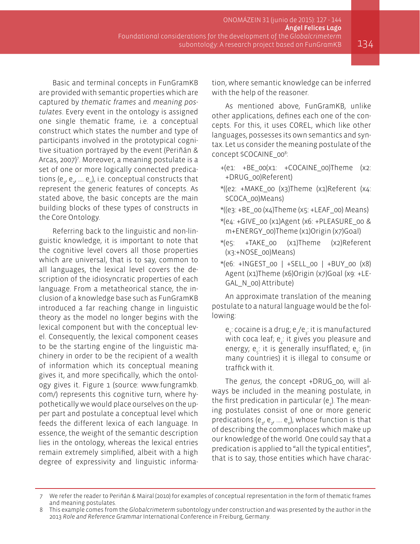Basic and terminal concepts in FunGramKB are provided with semantic properties which are captured by *thematic frames* and *meaning postulates*. Every event in the ontology is assigned one single thematic frame, i.e. a conceptual construct which states the number and type of participants involved in the prototypical cognitive situation portrayed by the event (Periñán & Arcas, 2007)<sup>7</sup> . Moreover, a meaning postulate is a set of one or more logically connected predications ( $e_{1}$ ,  $e_{2}$ , ....  $e_{n}$ ), i.e. conceptual constructs that represent the generic features of concepts. As stated above, the basic concepts are the main building blocks of these types of constructs in the Core Ontology.

Referring back to the linguistic and non-linguistic knowledge, it is important to note that the cognitive level covers all those properties which are universal, that is to say, common to all languages, the lexical level covers the description of the idiosyncratic properties of each language. From a metatheorical stance, the inclusion of a knowledge base such as FunGramKB introduced a far reaching change in linguistic theory as the model no longer begins with the lexical component but with the conceptual level. Consequently, the lexical component ceases to be the starting engine of the linguistic machinery in order to be the recipient of a wealth of information which its conceptual meaning gives it, and more specifically, which the ontology gives it. Figure 1 (source: [www.fungramkb.](www.fungramkb.com/) [com/\)](www.fungramkb.com/) represents this cognitive turn, where hypothetically we would place ourselves on the upper part and postulate a conceptual level which feeds the different lexica of each language. In essence, the weight of the semantic description lies in the ontology, whereas the lexical entries remain extremely simplified, albeit with a high degree of expressivity and linguistic information, where semantic knowledge can be inferred with the help of the reasoner.

As mentioned above, FunGramKB, unlike other applications, defines each one of the concepts. For this, it uses COREL, which like other languages, possesses its own semantics and syntax. Let us consider the meaning postulate of the concept \$COCAINE\_008: :

- +(e1: +BE\_00(x1: +COCAINE\_00)Theme (x2: +DRUG\_00)Referent)
- \*((e2: +MAKE\_00 (x3)Theme (x1)Referent (x4: \$COCA\_00)Means)
- \*((e3: +BE\_00 (x4)Theme (x5: +LEAF\_00) Means)
- $*(e_4: +GIVE$  00 (x1)Agent (x6: +PLEASURE 00 & m+ENERGY\_00)Theme (x1)Origin (x7)Goal)
- \*(e5: +TAKE\_00 (x1)Theme (x2)Referent (x3:+NOSE\_00)Means)
- \*(e6: +INGEST\_00 | +SELL\_00 | +BUY\_00 (x8) Agent (x1)Theme (x6)Origin (x7)Goal (x9: +LE-GAL\_N\_00) Attribute)

An approximate translation of the meaning postulate to a natural language would be the following:

 ${\sf e}_{\sf i}$ : cocaine is a drug;  ${\sf e}_{\sf i}$ / ${\sf e}_{\sf i}$ : it is manufactured with coca leaf;  ${\mathsf e}_4^+$  it gives you pleasure and energy;  ${\mathsf e}_{{}_{\mathsf S}}$ : it is generally insufflated;  ${\mathsf e}_{{}_{\mathsf S}}$ : (in many countries) it is illegal to consume or traffick with it.

The *genus*, the concept +DRUG\_00, will always be included in the meaning postulate, in the first predication in particular (e $_{\textrm{\tiny{l}}}$ ). The meaning postulates consist of one or more generic predications (e<sub>1</sub>, e<sub>2</sub>, .... e<sub>n</sub>), whose function is that of describing the commonplaces which make up our knowledge of the world. One could say that a predication is applied to "all the typical entities", that is to say, those entities which have charac-

<sup>7</sup> We refer the reader to Periñán & Mairal (2010) for examples of conceptual representation in the form of thematic frames and meaning postulates.

<sup>8</sup> This example comes from the *Globalcrimeterm* subontology under construction and was presented by the author in the 2013 *Role and Reference Grammar* International Conference in Freiburg, Germany.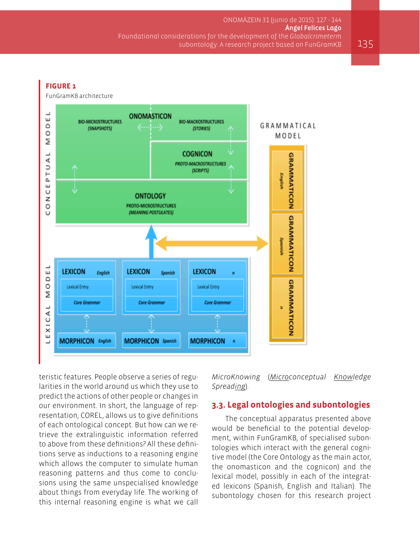#### **FIGURE 1**FunGramKB architecture ┙ **ONOMASTICON** ш **BIO-MICROSTRUCTURES BIO-MACROSTRUCTURES**  $\circ$ GRAMMATICAL (SNAPSHOTS) (STORIES) O MODEL Σ  $\overline{A}$  L **COGNICON GRAMMATICON PROTO-MACROSTRUCTURES**  $\supset$ (SCRIPTS) Н English Δ. ш U **ONTOLOGY** z **PROTO-MICROSTRUCTURES** O (MEANING POSTULATES) U **GRAMMATICON** Spanish **LEXICON LEXICON LEXICON** ш English Spanish  $\overline{a}$  $\triangle$ **GRAMMATICON** O **Lexical Entry Lexical Entry** Lexical Entry Σ **Core Grammar Core Grammar Core Grammar**  $\overline{a}$ ä Ü  $\overline{\mathbf{x}}$ ш **MORPHICON** English **MORPHICON** Spanish **MORPHICON**  $\mathbf{a}$ ⊐

teristic features. People observe a series of regularities in the world around us which they use to predict the actions of other people or changes in our environment. In short, the language of representation, COREL, allows us to give definitions of each ontological concept. But how can we retrieve the extralinguistic information referred to above from these definitions? All these definitions serve as inductions to a reasoning engine which allows the computer to simulate human reasoning patterns and thus come to conclusions using the same unspecialised knowledge about things from everyday life. The working of this internal reasoning engine is what we call

*MicroKnowing* (*Microconceptual Knowledge Spreading*).

### **3.3. Legal ontologies and subontologies**

The conceptual apparatus presented above would be beneficial to the potential development, within FunGramKB, of specialised subontologies which interact with the general cognitive model (the Core Ontology as the main actor, the onomasticon and the cognicon) and the lexical model, possibly in each of the integrated lexicons (Spanish, English and Italian). The subontology chosen for this research project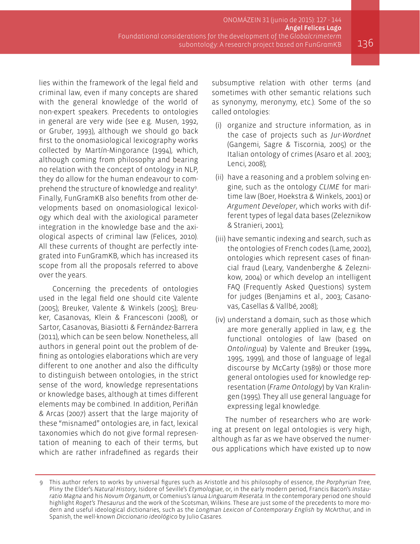lies within the framework of the legal field and criminal law, even if many concepts are shared with the general knowledge of the world of non-expert speakers. Precedents to ontologies in general are very wide (see e.g. Musen, 1992, or Gruber, 1993), although we should go back first to the onomasiological lexicography works collected by Martín-Mingorance (1994), which, although coming from philosophy and bearing no relation with the concept of ontology in NLP, they do allow for the human endeavour to comprehend the structure of knowledge and reality<sup>9</sup>. Finally, FunGramKB also benefits from other developments based on onomasiological lexicology which deal with the axiological parameter integration in the knowledge base and the axiological aspects of criminal law (Felices, 2010). All these currents of thought are perfectly integrated into FunGramKB, which has increased its scope from all the proposals referred to above over the years.

Concerning the precedents of ontologies used in the legal field one should cite Valente (2005); Breuker, Valente & Winkels (2005); Breuker, Casanovas, Klein & Francesconi (2008), or Sartor, Casanovas, Biasiotti & Fernández-Barrera (2011), which can be seen below. Nonetheless, all authors in general point out the problem of defining as ontologies elaborations which are very different to one another and also the difficulty to distinguish between ontologies, in the strict sense of the word, knowledge representations or knowledge bases, although at times different elements may be combined. In addition, Periñán & Arcas (2007) assert that the large majority of these "misnamed" ontologies are, in fact, lexical taxonomies which do not give formal representation of meaning to each of their terms, but which are rather infradefined as regards their subsumptive relation with other terms (and sometimes with other semantic relations such as synonymy, meronymy, etc.). Some of the so called ontologies:

- (i) organize and structure information, as in the case of projects such as *Jur-Wordnet* (Gangemi, Sagre & Tiscornia, 2005) or the Italian ontology of crimes (Asaro et al. 2003; Lenci, 2008);
- (ii) have a reasoning and a problem solving engine, such as the ontology *CLIME* for maritime law (Boer, Hoekstra & Winkels, 2001) or *Argument Developer*, which works with different types of legal data bases (Zeleznikow & Stranieri, 2001);
- (iii) have semantic indexing and search, such as the ontologies of French codes (Lame, 2002), ontologies which represent cases of financial fraud (Leary, Vandenberghe & Zeleznikow, 2004) or which develop an intelligent FAQ (Frequently Asked Questions) system for judges (Benjamins et al., 2003; Casanovas, Casellas & Vallbé, 2008);
- (iv) understand a domain, such as those which are more generally applied in law, e.g. the functional ontologies of law (based on *Ontolingua*) by Valente and Breuker (1994, 1995, 1999), and those of language of legal discourse by McCarty (1989) or those more general ontologies used for knowledge representation (*Frame Ontology*) by Van Kralingen (1995). They all use general language for expressing legal knowledge.

The number of researchers who are working at present on legal ontologies is very high, although as far as we have observed the numerous applications which have existed up to now

<sup>9</sup> This author refers to works by universal figures such as Aristotle and his philosophy of essence, *the Porphyrian Tree*, Pliny the Elder's *Natural History*, Isidore of Seville's *Etymologiae*, or, in the early modern period, Francis Bacon's *Instauratio Magna* and his *Novum Organum*, or Comenius's *Ianua Linguarum Reserata*. In the contemporary period one should highlight *Roget's Thesaurus* and the work of the Scotsman, Wilkins. These are just some of the precedents to more modern and useful ideological dictionaries, such as the *Longman Lexicon of Contemporary English* by McArthur, and in Spanish, the well-known *Diccionario ideológico* by Julio Casares.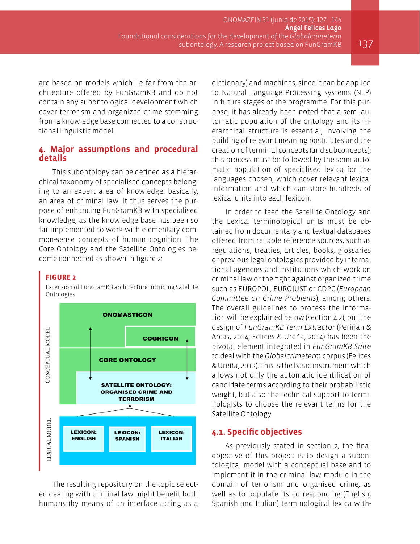are based on models which lie far from the architecture offered by FunGramKB and do not contain any subontological development which cover terrorism and organized crime stemming from a knowledge base connected to a constructional linguistic model.

#### **4. Major assumptions and procedural details**

This subontology can be defined as a hierarchical taxonomy of specialised concepts belonging to an expert area of knowledge: basically, an area of criminal law. It thus serves the purpose of enhancing FunGramKB with specialised knowledge, as the knowledge base has been so far implemented to work with elementary common-sense concepts of human cognition. The Core Ontology and the Satellite Ontologies become connected as shown in figure 2:

Extension of FunGramKB architecture including Satellite

#### **FIGURE 2**

Ontologies

**ONOMASTICON** CONCEPTUAL MODEI **COGNICON CORE ONTOLOGY SATELLITE ONTOLOGY: ORGANISED CRIME AND TERRORISM LEXICAL MODEI LEXICON: LEXICON: LEXICON: ENGLISH SPANISH ITALIAN** 

The resulting repository on the topic selected dealing with criminal law might benefit both humans (by means of an interface acting as a dictionary) and machines, since it can be applied to Natural Language Processing systems (NLP) in future stages of the programme. For this purpose, it has already been noted that a semi-automatic population of the ontology and its hierarchical structure is essential, involving the building of relevant meaning postulates and the creation of terminal concepts (and subconcepts); this process must be followed by the semi-automatic population of specialised lexica for the languages chosen, which cover relevant lexical information and which can store hundreds of lexical units into each lexicon.

In order to feed the Satellite Ontology and the Lexica, terminological units must be obtained from documentary and textual databases offered from reliable reference sources, such as regulations, treaties, articles, books, glossaries or previous legal ontologies provided by international agencies and institutions which work on criminal law or the fight against organized crime such as EUROPOL, EUROJUST or CDPC (*European Committee on Crime Problems*), among others. The overall guidelines to process the information will be explained below (section 4.2), but the design of *FunGramKB Term Extractor* (Periñán & Arcas, 2014; Felices & Ureña, 2014) has been the pivotal element integrated in *FunGramKB Suite*  to deal with the *Globalcrimeterm* corpus (Felices & Ureña, 2012). This is the basic instrument which allows not only the automatic identification of candidate terms according to their probabilistic weight, but also the technical support to terminologists to choose the relevant terms for the Satellite Ontology.

#### **4.1. Specific objectives**

As previously stated in section 2, the final objective of this project is to design a subontological model with a conceptual base and to implement it in the criminal law module in the domain of terrorism and organised crime, as well as to populate its corresponding (English, Spanish and Italian) terminological lexica with-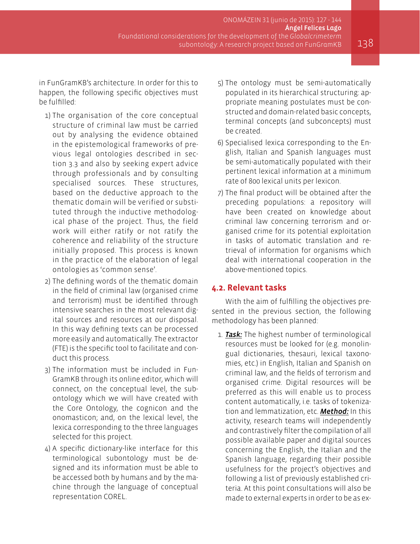in FunGramKB's architecture. In order for this to happen, the following specific objectives must be fulfilled:

- 1) The organisation of the core conceptual structure of criminal law must be carried out by analysing the evidence obtained in the epistemological frameworks of previous legal ontologies described in section 3.3 and also by seeking expert advice through professionals and by consulting specialised sources. These structures, based on the deductive approach to the thematic domain will be verified or substituted through the inductive methodological phase of the project. Thus, the field work will either ratify or not ratify the coherence and reliability of the structure initially proposed. This process is known in the practice of the elaboration of legal ontologies as 'common sense'.
- 2) The defining words of the thematic domain in the field of criminal law (organised crime and terrorism) must be identified through intensive searches in the most relevant digital sources and resources at our disposal. In this way defining texts can be processed more easily and automatically. The extractor (FTE) is the specific tool to facilitate and conduct this process.
- 3) The information must be included in Fun-GramKB through its online editor, which will connect, on the conceptual level, the subontology which we will have created with the Core Ontology, the cognicon and the onomasticon; and, on the lexical level, the lexica corresponding to the three languages selected for this project.
- 4) A specific dictionary-like interface for this terminological subontology must be designed and its information must be able to be accessed both by humans and by the machine through the language of conceptual representation COREL.
- 5) The ontology must be semi-automatically populated in its hierarchical structuring: appropriate meaning postulates must be constructed and domain-related basic concepts, terminal concepts (and subconcepts) must be created.
- 6) Specialised lexica corresponding to the English, Italian and Spanish languages must be semi-automatically populated with their pertinent lexical information at a minimum rate of 800 lexical units per lexicon.
- 7) The final product will be obtained after the preceding populations: a repository will have been created on knowledge about criminal law concerning terrorism and organised crime for its potential exploitation in tasks of automatic translation and retrieval of information for organisms which deal with international cooperation in the above-mentioned topics.

#### **4.2. Relevant tasks**

With the aim of fulfilling the objectives presented in the previous section, the following methodology has been planned:

1. *Task:* The highest number of terminological resources must be looked for (e.g. monolingual dictionaries, thesauri, lexical taxonomies, etc.) in English, Italian and Spanish on criminal law, and the fields of terrorism and organised crime. Digital resources will be preferred as this will enable us to process content automatically, i.e. tasks of tokenization and lemmatization, etc. *Method:* In this activity, research teams will independently and contrastively filter the compilation of all possible available paper and digital sources concerning the English, the Italian and the Spanish language, regarding their possible usefulness for the project's objectives and following a list of previously established criteria. At this point consultations will also be made to external experts in order to be as ex-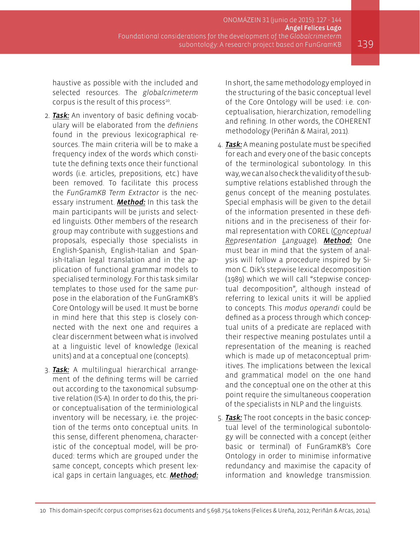haustive as possible with the included and selected resources. The *globalcrimeterm* corpus is the result of this process<sup>10</sup>.

- 2. *Task:* An inventory of basic defining vocabulary will be elaborated from the *definiens* found in the previous lexicographical resources. The main criteria will be to make a frequency index of the words which constitute the defining texts once their functional words (i.e. articles, prepositions, etc.) have been removed. To facilitate this process the *FunGramKB Term Extractor* is the necessary instrument. *Method:* In this task the main participants will be jurists and selected linguists. Other members of the research group may contribute with suggestions and proposals, especially those specialists in English-Spanish, English-Italian and Spanish-Italian legal translation and in the application of functional grammar models to specialised terminology. For this task similar templates to those used for the same purpose in the elaboration of the FunGramKB's Core Ontology will be used. It must be borne in mind here that this step is closely connected with the next one and requires a clear discernment between what is involved at a linguistic level of knowledge (lexical units) and at a conceptual one (concepts).
- 3. *Task:* A multilingual hierarchical arrangement of the defining terms will be carried out according to the taxonomical subsumptive relation (IS-A). In order to do this, the prior conceptualisation of the terminiological inventory will be necessary, i.e. the projection of the terms onto conceptual units. In this sense, different phenomena, characteristic of the conceptual model, will be produced: terms which are grouped under the same concept, concepts which present lexical gaps in certain languages, etc. *Method:*

In short, the same methodology employed in the structuring of the basic conceptual level of the Core Ontology will be used: i.e. conceptualisation, hierarchization, remodelling and refining. In other words, the COHERENT methodology (Periñán & Mairal, 2011).

- 4. *Task:* A meaning postulate must be specified for each and every one of the basic concepts of the terminological subontology. In this way, we can also check the validity of the subsumptive relations established through the genus concept of the meaning postulates. Special emphasis will be given to the detail of the information presented in these definitions and in the preciseness of their formal representation with COREL (*Conceptual Representation Language*). *Method:* One must bear in mind that the system of analysis will follow a procedure inspired by Simon C. Dik's stepwise lexical decomposition (1989) which we will call "stepwise conceptual decomposition", although instead of referring to lexical units it will be applied to concepts. This *modus operandi* could be defined as a process through which conceptual units of a predicate are replaced with their respective meaning postulates until a representation of the meaning is reached which is made up of metaconceptual primitives. The implications between the lexical and grammatical model on the one hand and the conceptual one on the other at this point require the simultaneous cooperation of the specialists in NLP and the linguists.
- 5. *Task:* The root concepts in the basic conceptual level of the terminological subontology will be connected with a concept (either basic or terminal) of FunGramKB's Core Ontology in order to minimise informative redundancy and maximise the capacity of information and knowledge transmission.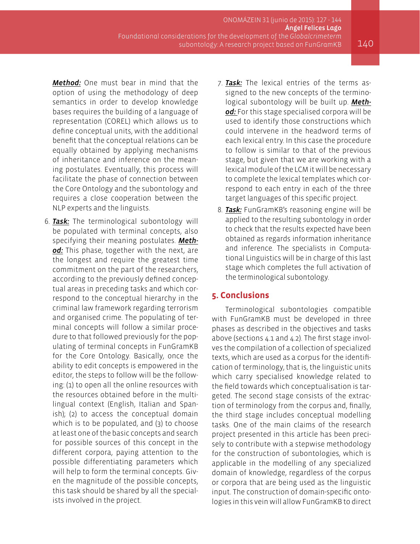*Method:* One must bear in mind that the option of using the methodology of deep semantics in order to develop knowledge bases requires the building of a language of representation (COREL) which allows us to define conceptual units, with the additional benefit that the conceptual relations can be equally obtained by applying mechanisms of inheritance and inference on the meaning postulates. Eventually, this process will facilitate the phase of connection between the Core Ontology and the subontology and requires a close cooperation between the NLP experts and the linguists.

- 6. *Task:* The terminological subontology will be populated with terminal concepts, also specifying their meaning postulates. *Method:* This phase, together with the next, are the longest and require the greatest time commitment on the part of the researchers, according to the previously defined conceptual areas in preceding tasks and which correspond to the conceptual hierarchy in the criminal law framework regarding terrorism and organised crime. The populating of terminal concepts will follow a similar procedure to that followed previously for the populating of terminal concepts in FunGramKB for the Core Ontology. Basically, once the ability to edit concepts is empowered in the editor, the steps to follow will be the following: (1) to open all the online resources with the resources obtained before in the multilingual context (English, Italian and Spanish); (2) to access the conceptual domain which is to be populated, and (3) to choose at least one of the basic concepts and search for possible sources of this concept in the different corpora, paying attention to the possible differentiating parameters which will help to form the terminal concepts. Given the magnitude of the possible concepts, this task should be shared by all the specialists involved in the project.
- 7. *Task:* The lexical entries of the terms assigned to the new concepts of the terminological subontology will be built up. *Method:* For this stage specialised corpora will be used to identify those constructions which could intervene in the headword terms of each lexical entry. In this case the procedure to follow is similar to that of the previous stage, but given that we are working with a lexical module of the LCM it will be necessary to complete the lexical templates which correspond to each entry in each of the three target languages of this specific project.
- 8. *Task:* FunGramKB's reasoning engine will be applied to the resulting subontology in order to check that the results expected have been obtained as regards information inheritance and inference. The specialists in Computational Linguistics will be in charge of this last stage which completes the full activation of the terminological subontology.

#### **5. Conclusions**

Terminological subontologies compatible with FunGramKB must be developed in three phases as described in the objectives and tasks above (sections 4.1 and 4.2). The first stage involves the compilation of a collection of specialized texts, which are used as a corpus for the identification of terminology, that is, the linguistic units which carry specialised knowledge related to the field towards which conceptualisation is targeted. The second stage consists of the extraction of terminology from the corpus and, finally, the third stage includes conceptual modelling tasks. One of the main claims of the research project presented in this article has been precisely to contribute with a stepwise methodology for the construction of subontologies, which is applicable in the modelling of any specialized domain of knowledge, regardless of the corpus or corpora that are being used as the linguistic input. The construction of domain-specific ontologies in this vein will allow FunGramKB to direct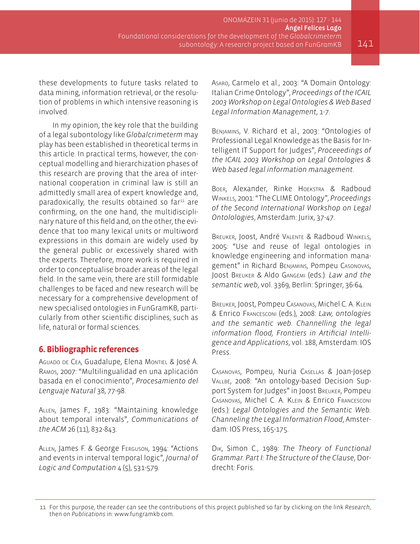these developments to future tasks related to data mining, information retrieval, or the resolution of problems in which intensive reasoning is involved.

In my opinion, the key role that the building of a legal subontology like *Globalcrimeterm* may play has been established in theoretical terms in this article. In practical terms, however, the conceptual modelling and hierarchization phases of this research are proving that the area of international cooperation in criminal law is still an admittedly small area of expert knowledge and, paradoxically, the results obtained so  $far<sup>11</sup>$  are confirming, on the one hand, the multidisciplinary nature of this field and, on the other, the evidence that too many lexical units or multiword expressions in this domain are widely used by the general public or excessively shared with the experts. Therefore, more work is required in order to conceptualise broader areas of the legal field. In the same vein, there are still formidable challenges to be faced and new research will be necessary for a comprehensive development of new specialised ontologies in FunGramKB, particularly from other scientific disciplines, such as life, natural or formal sciences.

#### **6. Bibliographic references**

Aguado de Cea, Guadalupe, Elena Montiel & José Á. Ramos, 2007: "Multilingualidad en una aplicación basada en el conocimiento", *Procesamiento del Lenguaje Natural* 38, 77-98.

Allen, James F., 1983: "Maintaining knowledge about temporal intervals", *Communications of the ACM* 26 (11), 832-843.

Allen, James F. & George Ferguson, 1994: "Actions and events in interval temporal logic", *Journal of Logic and Computation* 4 (5), 531-579.

Asaro, Carmelo et al., 2003: "A Domain Ontology: Italian Crime Ontology", *Proceedings of the ICAIL 2003 Workshop on Legal Ontologies & Web Based Legal Information Management*, 1-7.

Benjamins, V. Richard et al., 2003: "Ontologies of Professional Legal Knowledge as the Basis for Intelligent IT Support for Judges", *Proceeedings of the ICAIL 2003 Workshop on Legal Ontologies & Web based legal information management*.

Boer, Alexander, Rinke Hoekstra & Radboud Winkels, 2001: "The CLIME Ontology", *Proceedings of the Second International Workshop on Legal Ontolologies*, Amsterdam: Jurix, 37-47.

Breuker, Joost, André Valente & Radboud Winkels, 2005: "Use and reuse of legal ontologies in knowledge engineering and information management" in Richard Benjamins, Pompeu Casonovas, Joost Breuker & Aldo Gangemi (eds.): *Law and the semantic web*, vol. 3369, Berlin: Springer, 36-64.

Breuker, Joost, Pompeu Casanovas, Michel C. A. Klein & Enrico Francesconi (eds.), 2008: *Law, ontologies and the semantic web. Channelling the legal information flood, Frontiers in Artificial Intelligence and Applications*, vol. 188, Amsterdam: IOS Press.

Casanovas, Pompeu, Nuria Casellas & Joan-Josep Vallbé, 2008: "An ontology-based Decision Support System for Judges" in Joost Breuker, Pompeu Casanovas, Michel C. A. Klein & Enrico Francesconi (eds.): *Legal Ontologies and the Semantic Web. Channeling the Legal Information Flood*, Amsterdam: IOS Press, 165-175.

Dik, Simon C., 1989: *The Theory of Functional Grammar. Part I: The Structure of the Clause*, Dordrecht: Foris.

<sup>11</sup> For this purpose, the reader can see the contributions of this project published so far by clicking on the link *Research*, then on *Publications* in: www.fungramkb.com.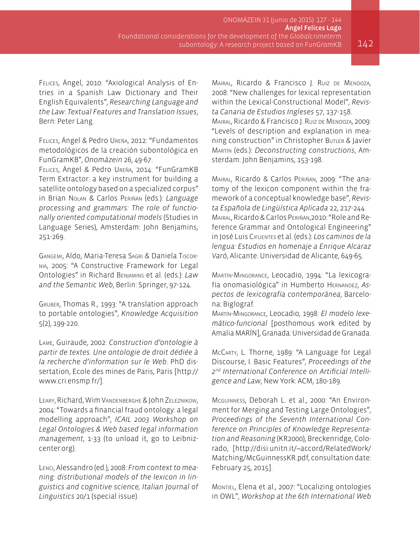Felices, Ángel, 2010: "Axiological Analysis of Entries in a Spanish Law Dictionary and Their English Equivalents", *Researching Language and the Law: Textual Features and Translation Issues*, Bern: Peter Lang.

Felices, Ángel & Pedro Ureña, 2012: "Fundamentos metodológicos de la creación subontológica en FunGramKB", *Onomázein* 26, 49-67.

Felices, Ángel & Pedro Ureña, 2014: "FunGramKB Term Extractor: a key instrument for building a satellite ontology based on a specialized corpus" in Brian Nolan & Carlos Periñán (eds.): *Language processing and grammars: The role of functionally oriented computational models* (Studies in Language Series), Amsterdam: John Benjamins, 251-269.

Gangemi, Aldo, Maria-Teresa Sagri & Daniela Tiscornia, 2005: "A Constructive Framework for Legal Ontologies" in Richard Benjamins et al. (eds.): *Law and the Semantic Web*, Berlin: Springer, 97-124.

Gruber, Thomas R., 1993: "A translation approach to portable ontologies", *Knowledge Acquisition* 5(2), 199-220.

Lame, Guiraude, 2002: *Construction d'ontologie à partir de textes. Une ontologie de droit dédiée à la recherche d'information sur le Web*. PhD dissertation, Ecole des mines de Paris, Paris [\[http://](http://www.cri.ensmp.fr/) [www.cri.ensmp.fr/](http://www.cri.ensmp.fr/)].

Leary, Richard, Wim Vandenberghe & John Zeleznikow, 2004: "Towards a financial fraud ontology: a legal modelling approach", *ICAIL 2003 Workshop on Legal Ontologies & Web based legal information management*, 1-33 (to unload it, go to Leibnizcenter.org).

Lenci, Alessandro (ed.), 2008: *From context to meaning: distributional models of the lexicon in linguistics and cognitive science, Italian Journal of Linguistics* 20/1 (special issue).

Mairal, Ricardo & Francisco J. Ruiz de Mendoza, 2008: "New challenges for lexical representation within the Lexical-Constructional Model", *Revista Canaria de Estudios Ingleses* 57, 137-158. Mairal, Ricardo & Francisco J. Ruiz de Mendoza, 2009: "Levels of description and explanation in meaning construction" in Christopher BuTLER & Javier Martín (eds.): *Deconstructing constructions*, Amsterdam: John Benjamins, 153-198.

Mairal, Ricardo & Carlos Periñán, 2009: "The anatomy of the lexicon component within the framework of a conceptual knowledge base", *Revista Española de Lingüística Aplicada* 22, 217-244. Mairal, Ricardo & Carlos Periñán,2010: "Role and Reference Grammar and Ontological Engineering" in José Luis Cifuentes et al. (eds.): *Los caminos de la lengua: Estudios en homenaje a Enrique Alcaraz Varó*, Alicante: Universidad de Alicante, 649-65.

Martín-Mingorance, Leocadio, 1994: "La lexicografía onomasiológica" in Humberto Hernández, *Aspectos de lexicografía contemporánea*, Barcelona: Biglograf.

Martín-Mingorance, Leocadio, 1998: *El modelo lexemático-funcional* [posthomous work edited by Amalia MARÍN], Granada: Universidad de Granada.

McCarty, L. Thorne, 1989: "A Language for Legal Discourse, I. Basic Features", *Proceedings of the 2nd International Conference on Artificial Intelligence and Law*, New York: ACM, 180-189.

Mcguinness, Deborah L. et al., 2000: "An Environment for Merging and Testing Large Ontologies", *Proceedings of the Seventh International Conference on Principles of Knowledge Representation and Reasoning* (KR2000), Breckenridge, Colorado, [http://disi.unitn.it/~accord/RelatedWork/ Matching/McGuinnessKR.pdf, consultation date: February 25, 2015].

Montiel, Elena et al., 2007: "Localizing ontologies in OWL", *Workshop at the 6th International Web*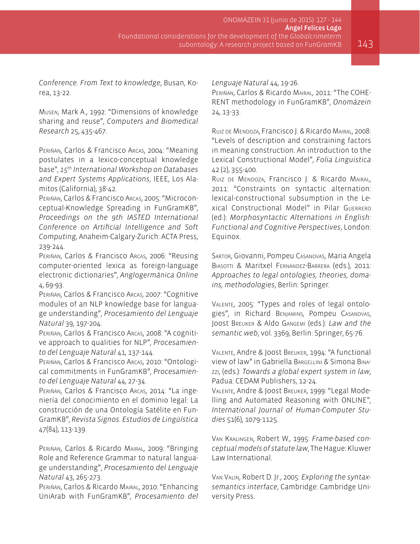*Conference. From Text to knowledge*, Busan, Korea, 13-22.

Musen, Mark A., 1992: "Dimensions of knowledge sharing and reuse", *Computers and Biomedical Research* 25, 435-467.

Periñán, Carlos & Francisco Arcas, 2004: "Meaning postulates in a lexico-conceptual knowledge base", *15th International Workshop on Databases and Expert Systems Applications*, IEEE, Los Alamitos (California), 38-42.

Periñán, Carlos & Francisco Arcas, 2005: "Microconceptual-Knowledge Spreading in FunGramKB", *Proceedings on the 9th IASTED International Conference on Artificial Intelligence and Soft Computing*, Anaheim-Calgary-Zurich: ACTA Press, 239-244.

Periñán, Carlos & Francisco Arcas, 2006: "Reusing computer-oriented lexica as foreign-language electronic dictionaries", *Anglogermánica Online* 4, 69-93.

Periñán, Carlos & Francisco Arcas, 2007: "Cognitive modules of an NLP knowledge base for language understanding", *Procesamiento del Lenguaje Natural* 39, 197-204.

Periñán, Carlos & Francisco Arcas, 2008: "A cognitive approach to qualities for NLP", *Procesamiento del Lenguaje Natural* 41, 137-144.

Periñán, Carlos & Francisco Arcas, 2010: "Ontological commitments in FunGramKB", *Procesamiento del Lenguaje Natural* 44, 27-34.

Periñán, Carlos & Francisco Arcas, 2014: "La ingeniería del conocimiento en el dominio legal: La construcción de una Ontología Satélite en Fun-GramKB", *Revista Signos. Estudios de Lingüística* 47(84), 113-139.

Periñán, Carlos & Ricardo Mairal, 2009: "Bringing Role and Reference Grammar to natural language understanding", *Procesamiento del Lenguaje Natural* 43, 265-273.

Periñán, Carlos & Ricardo Mairal, 2010: "Enhancing UniArab with FunGramKB", *Procesamiento del*  *Lenguaje Natural* 44, 19-26.

Periñán, Carlos & Ricardo Mairal, 2011: "The COHE-RENT methodology in FunGramKB", *Onomázein* 24, 13-33.

Ruiz de Mendoza, Francisco J. & Ricardo Mairal, 2008: "Levels of description and constraining factors in meaning construction. An introduction to the Lexical Constructional Model", *Folia Linguistica* 42 (2), 355-400.

Ruiz de Mendoza, Francisco J. & Ricardo Mairal, 2011: "Constraints on syntactic alternation: lexical-constructional subsumption in the Lexical Constructional Model" in Pilar Guerrero (ed.): *Morphosyntactic Alternations in English: Functional and Cognitive Perspectives*, London: Equinox.

Sartor, Giovanni, Pompeu Casanovas, Maria Angela Biasotti & Maritxel Fernández-Barrera (eds.), 2011: *Approaches to legal ontologies, theories, domains, methodologies*, Berlin: Springer.

Valente, 2005: "Types and roles of legal ontologies", in Richard Benjamins, Pompeu Casanovas, Joost Breuker & Aldo Gangemi (eds.): *Law and the semantic web*, vol. 3369, Berlin: Springer, 65-76.

Valente, Andre & Joost Breuker, 1994: "A functional view of law" in Gabriella Bargellini & Simona Binazzi, (eds.): *Towards a global expert system in law*, Padua: CEDAM Publishers, 12-24.

Valente, Andre & Joost Breuker, 1999: "Legal Modelling and Automated Reasoning with ONLINE", *International Journal of Human-Computer Studies* 51(6), 1079-1125.

Van Kralingen, Robert W., 1995: *Frame-based conceptual models of statute law*, The Hague: Kluwer Law International.

Van Valin, Robert D. Jr., 2005: *Exploring the syntaxsemantics interface*, Cambridge: Cambridge University Press.